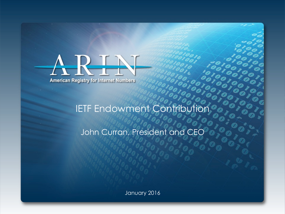

John Curran, President and CEO

January 2016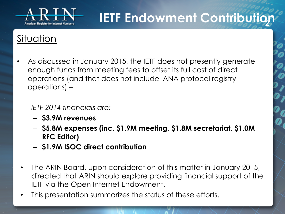

### **Situation**

• As discussed in January 2015, the IETF does not presently generate enough funds from meeting fees to offset its full cost of direct operations (and that does not include IANA protocol registry operations) –

#### *IETF 2014 financials are:*

- **\$3.9M revenues**
- **\$5.8M expenses (inc. \$1.9M meeting, \$1.8M secretariat, \$1.0M RFC Editor)**
- **\$1.9M ISOC direct contribution**
- The ARIN Board, upon consideration of this matter in January 2015, directed that ARIN should explore providing financial support of the IETF via the Open Internet Endowment.
- This presentation summarizes the status of these efforts.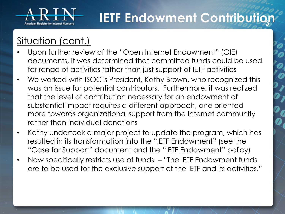

### Situation (cont.)

- Upon further review of the "Open Internet Endowment" (OIE) documents, it was determined that committed funds could be used for range of activities rather than just support of IETF activities
- We worked with ISOC's President, Kathy Brown, who recognized this was an issue for potential contributors. Furthermore, it was realized that the level of contribution necessary for an endowment of substantial impact requires a different approach, one oriented more towards organizational support from the Internet community rather than individual donations
- Kathy undertook a major project to update the program, which has resulted in its transformation into the "IETF Endowment" (see the "Case for Support" document and the "IETF Endowment" policy)
- Now specifically restricts use of funds "The IETF Endowment funds are to be used for the exclusive support of the IETF and its activities."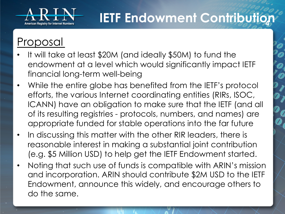

## Proposal

- It will take at least \$20M (and ideally \$50M) to fund the endowment at a level which would significantly impact IETF financial long-term well-being
- While the entire globe has benefited from the IETF's protocol efforts, the various Internet coordinating entities (RIRs, ISOC, ICANN) have an obligation to make sure that the IETF (and all of its resulting registries - protocols, numbers, and names) are appropriate funded for stable operations into the far future
- In discussing this matter with the other RIR leaders, there is reasonable interest in making a substantial joint contribution (e.g. \$5 Million USD) to help get the IETF Endowment started.
- Noting that such use of funds is compatible with ARIN's mission and incorporation. ARIN should contribute \$2M USD to the IETF Endowment, announce this widely, and encourage others to do the same.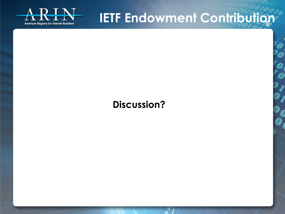

#### **Discussion?**